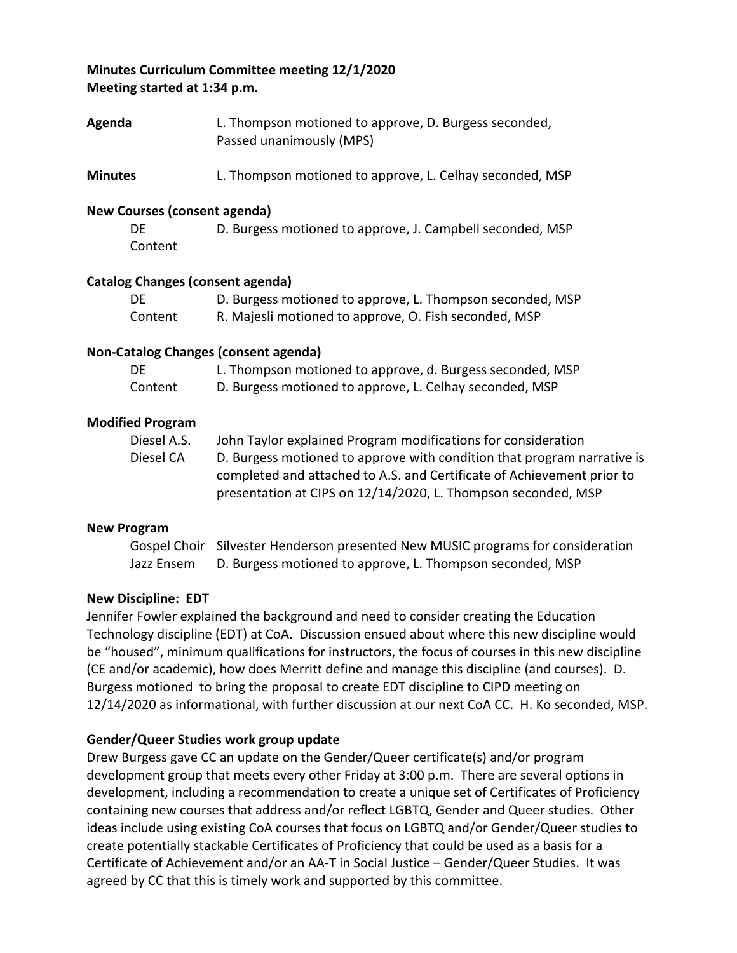### **Minutes Curriculum Committee meeting 12/1/2020 Meeting started at 1:34 p.m.**

- **Agenda** L. Thompson motioned to approve, D. Burgess seconded, Passed unanimously (MPS)
- **Minutes** L. Thompson motioned to approve, L. Celhay seconded, MSP

### **New Courses (consent agenda)**

| DE      | D. Burgess motioned to approve, J. Campbell seconded, MSP |
|---------|-----------------------------------------------------------|
| Content |                                                           |

### **Catalog Changes (consent agenda)**

| DE      | D. Burgess motioned to approve, L. Thompson seconded, MSP |
|---------|-----------------------------------------------------------|
| Content | R. Majesli motioned to approve, O. Fish seconded, MSP     |

### **Non-Catalog Changes (consent agenda)**

| DE      | L. Thompson motioned to approve, d. Burgess seconded, MSP |
|---------|-----------------------------------------------------------|
| Content | D. Burgess motioned to approve, L. Celhay seconded, MSP   |

### **Modified Program**

| Diesel A.S. | John Taylor explained Program modifications for consideration           |
|-------------|-------------------------------------------------------------------------|
| Diesel CA   | D. Burgess motioned to approve with condition that program narrative is |
|             | completed and attached to A.S. and Certificate of Achievement prior to  |
|             | presentation at CIPS on 12/14/2020, L. Thompson seconded, MSP           |

#### **New Program**

Gospel Choir Silvester Henderson presented New MUSIC programs for consideration Jazz Ensem D. Burgess motioned to approve, L. Thompson seconded, MSP

### **New Discipline: EDT**

Jennifer Fowler explained the background and need to consider creating the Education Technology discipline (EDT) at CoA. Discussion ensued about where this new discipline would be "housed", minimum qualifications for instructors, the focus of courses in this new discipline (CE and/or academic), how does Merritt define and manage this discipline (and courses). D. Burgess motioned to bring the proposal to create EDT discipline to CIPD meeting on 12/14/2020 as informational, with further discussion at our next CoA CC. H. Ko seconded, MSP.

### **Gender/Queer Studies work group update**

Drew Burgess gave CC an update on the Gender/Queer certificate(s) and/or program development group that meets every other Friday at 3:00 p.m. There are several options in development, including a recommendation to create a unique set of Certificates of Proficiency containing new courses that address and/or reflect LGBTQ, Gender and Queer studies. Other ideas include using existing CoA courses that focus on LGBTQ and/or Gender/Queer studies to create potentially stackable Certificates of Proficiency that could be used as a basis for a Certificate of Achievement and/or an AA-T in Social Justice – Gender/Queer Studies. It was agreed by CC that this is timely work and supported by this committee.